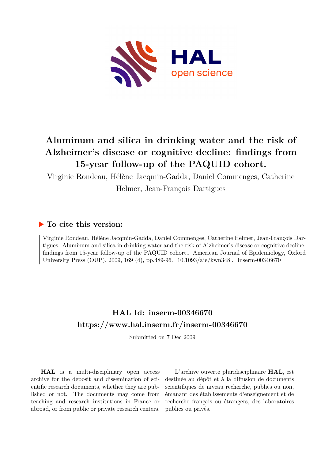

# **Aluminum and silica in drinking water and the risk of Alzheimer's disease or cognitive decline: findings from 15-year follow-up of the PAQUID cohort.**

Virginie Rondeau, Hélène Jacqmin-Gadda, Daniel Commenges, Catherine

Helmer, Jean-François Dartigues

# **To cite this version:**

Virginie Rondeau, Hélène Jacqmin-Gadda, Daniel Commenges, Catherine Helmer, Jean-François Dartigues. Aluminum and silica in drinking water and the risk of Alzheimer's disease or cognitive decline: findings from 15-year follow-up of the PAQUID cohort.. American Journal of Epidemiology, Oxford University Press (OUP), 2009, 169 (4), pp.489-96.  $10.1093/aje/kwn348$ . inserm-00346670

# **HAL Id: inserm-00346670 <https://www.hal.inserm.fr/inserm-00346670>**

Submitted on 7 Dec 2009

**HAL** is a multi-disciplinary open access archive for the deposit and dissemination of scientific research documents, whether they are published or not. The documents may come from teaching and research institutions in France or abroad, or from public or private research centers.

L'archive ouverte pluridisciplinaire **HAL**, est destinée au dépôt et à la diffusion de documents scientifiques de niveau recherche, publiés ou non, émanant des établissements d'enseignement et de recherche français ou étrangers, des laboratoires publics ou privés.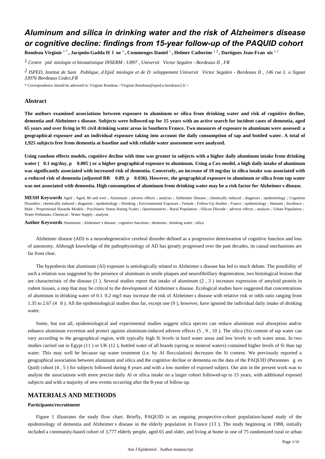# *Aluminum and silica in drinking water and the risk of Alzheimers disease or cognitive decline: findings from 15-year follow-up of the PAQUID cohort*

**Rondeau Virginie** 1 \* **, Jacqmin-Gadda H l ne** é è <sup>1</sup>**, Commenges Daniel** 1 **, Helmer Catherine** 1 2 **, Dartigues Jean-Fran ois** 1 2

<sup>1</sup> Centre pid miologie et biostatistique INSERM : U897, Universit Victor Segalen - Bordeaux II, FR

<sup>2</sup> ISPED, Institut de Sant Publique, d Epid miologie et de D veloppement Universit Victor Segalen - Bordeaux II, 146 rue L o Signat *33076 Bordeaux Cedex,FR*

\* Correspondence should be adressed to: Virginie Rondeau <Virginie.Rondeau@isped.u-bordeaux2.fr >

### **Abstract**

**The authors examined associations between exposure to aluminum or silica from drinking water and risk of cognitive decline, dementia and Alzheimer s disease. Subjects were followed-up for 15 years with an active search for incident cases of dementia, aged 65 years and over living in 91 civil drinking water areas in Southern France. Two measures of exposure to aluminum were assessed: a geographical exposure and an individual exposure taking into account the daily consumption of tap and bottled water. A total of 1,925 subjects free from dementia at baseline and with reliable water assessment were analyzed.**

**Using random effects models, cognitive decline with time was greater in subjects with a higher daily aluminum intake from drinking** water (0.1 mg/day, p0.005) or a higher geographical exposure to aluminum. Using a Cox model, a high daily intake of aluminum **was significantly associated with increased risk of dementia. Conversely, an increase of 10 mg/day in silica intake was associated with** a reduced risk of dementia (adjusted RR 0.89, p 0.036). However, the geographical exposure to aluminum or silica from tap water **was not associated with dementia. High consumption of aluminum from drinking water may be a risk factor for Alzheimer s disease.**

**MESH Keywords** Aged ; Aged, 80 and over ; Aluminum ; adverse effects ; analysis ; Alzheimer Disease ; chemically induced ; diagnosis ; epidemiology ; Cognition Disorders ; chemically induced ; diagnosis ; epidemiology ; Drinking ; Environmental Exposure ; Female ; Follow-Up Studies ; France ; epidemiology ; Humans ; Incidence ; Male ; Proportional Hazards Models ; Psychiatric Status Rating Scales ; Questionnaires ; Rural Population ; Silicon Dioxide ; adverse effects ; analysis ; Urban Population ; Water Pollutants, Chemical ; Water Supply ; analysis

**Author Keywords** Aluminum ; Alzheimer's disease ; cognitive functions ; dementia ; drinking water ; silica

Alzheimer disease (AD) is a neurodegenerative cerebral disorder defined as a progressive deterioration of cognitive function and loss of autonomy. Although knowledge of the pathophysiology of AD has greatly progressed over the past decades, its causal mechanisms are far from clear.

The hypothesis that aluminum (Al) exposure is aetiologically related to Alzheimer s disease has led to much debate. The possibility of such a relation was suggested by the presence of aluminum in senile plaques and neurofibrillary degeneration, two histological lesions that are characteristic of the disease (1). Several studies report that intake of aluminum  $(2, 3)$  increases expression of amyloid protein in rodent tissues, a step that may be critical to the development of Alzheimer s disease. Ecological studies have suggested that concentrations of aluminum in drinking water of 0.1 0.2 mg/l may increase the risk of Alzheimer s disease with relative risk or odds ratio ranging from 1.35 to 2.67 (4  $\,$  8). All the epidemiological studies thus far, except one (9), however, have ignored the individual daily intake of drinking water.

Some, but not all, epidemiological and experimental studies suggest silica species can reduce aluminum oral absorption and/or enhance aluminum excretion and protect against aluminum-induced adverse effects  $(5, 9, 10)$ . The silica (Si) content of tap water can vary according to the geographical region, with typically high Si levels in hard water areas and low levels in soft water areas. In two studies carried out in Egypt (11) or UK (12), bottled water of all brands (spring or mineral waters) contained higher levels of Si than tap water. This may well be because tap water treatment (i.e. by Al flocculation) decreases the Si content. We previously reported a geographical association between aluminum and silica and the cognitive decline or dementia on the data of the PAQUID (Personnes g es Quid) cohort  $(4, 5)$  for subjects followed during 8 years and with a low number of exposed subject. Our aim in the present work was to analyse the associations with more precise daily Al or silica intake on a larger cohort followed-up to 15 years, with additional exposed subjects and with a majority of new events occurring after the 8-year of follow-up.

# **MATERIALS AND METHODS**

#### **Participants/recruitment**

Figure 1 illustrates the study flow chart. Briefly, PAQUID is an ongoing prospective-cohort population-based study of the epidemiology of dementia and Alzheimer s disease in the elderly population in France (13). The study beginning in 1988, initially included a community-based cohort of 3,777 elderly people, aged 65 and older, and living at home in one of 75 randomized rural or urban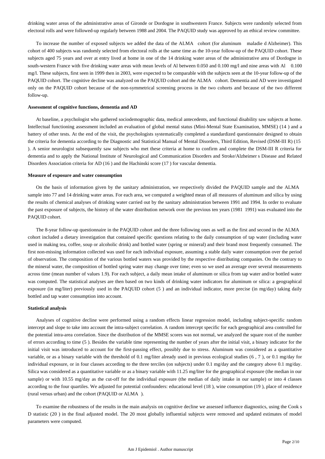drinking water areas of the administrative areas of Gironde or Dordogne in southwestern France. Subjects were randomly selected from electoral rolls and were followed-up regularly between 1988 and 2004. The PAQUID study was approved by an ethical review committee.

To increase the number of exposed subjects we added the data of the ALMA cohort (for aluminum maladie d Alzheimer). This cohort of 400 subjects was randomly selected from electoral rolls at the same time as the 10-year follow-up of the PAQUID cohort. These subjects aged 75 years and over at entry lived at home in one of the 14 drinking water areas of the administrative area of Dordogne in south-western France with five drinking water areas with mean levels of Al between 0.050 and 0.100 mg/l and nine areas with Al 0.100 mg/l. These subjects, first seen in 1999 then in 2003, were expected to be comparable with the subjects seen at the 10-year follow-up of the PAQUID cohort. The cognitive decline was analyzed on the PAQUID cohort and the ALMA cohort. Dementia and AD were investigated only on the PAQUID cohort because of the non-symmetrical screening process in the two cohorts and because of the two different follow-up.

### **Assessment of cognitive functions, dementia and AD**

At baseline, a psychologist who gathered sociodemographic data, medical antecedents, and functional disability saw subjects at home. Intellectual functioning assessment included an evaluation of global mental status (Mini-Mental State Examination, MMSE) (14) and a battery of other tests. At the end of the visit, the psychologists systematically completed a standardized questionnaire designed to obtain the criteria for dementia according to the Diagnostic and Statistical Manual of Mental Disorders, Third Edition, Revised (DSM-III R) (15 ). A senior neurologist subsequently saw subjects who met these criteria at home to confirm and complete the DSM-III R criteria for dementia and to apply the National Institute of Neurological and Communication Disorders and Stroke/Alzheimer s Disease and Related Disorders Association criteria for AD (16) and the Hachinski score (17) for vascular dementia.

#### **Measure of exposure and water consumption**

On the basis of information given by the sanitary administration, we respectively divided the PAQUID sample and the ALMA sample into 77 and 14 drinking water areas. For each area, we computed a weighted mean of all measures of aluminum and silica by using the results of chemical analyses of drinking water carried out by the sanitary administration between 1991 and 1994. In order to evaluate the past exposure of subjects, the history of the water distribution network over the previous ten years (1981 1991) was evaluated into the PAQUID cohort.

The 8-year follow-up questionnaire in the PAQUID cohort and the three following ones as well as the first and second in the ALMA cohort included a dietary investigation that contained specific questions relating to the daily consumption of tap water (including water used in making tea, coffee, soup or alcoholic drink) and bottled water (spring or mineral) and their brand most frequently consumed. The first non-missing information collected was used for each individual exposure, assuming a stable daily water consumption over the period of observation. The composition of the various bottled waters was provided by the respective distributing companies. On the contrary to the mineral water, the composition of bottled spring water may change over time; even so we used an average over several measurements across time (mean number of values 1.9). For each subject, a daily mean intake of aluminum or silica from tap water and/or bottled water was computed. The statistical analyses are then based on two kinds of drinking water indicators for aluminum or silica: a geographical exposure (in mg/liter) previously used in the PAQUID cohort (5) and an individual indicator, more precise (in mg/day) taking daily bottled and tap water consumption into account.

#### **Statistical analysis**

Analyses of cognitive decline were performed using a random effects linear regression model, including subject-specific random intercept and slope to take into account the intra-subject correlation. A random intercept specific for each geographical area controlled for the potential intra-area correlation. Since the distribution of the MMSE scores was not normal, we analyzed the square root of the number of errors according to time (5). Besides the variable time representing the number of years after the initial visit, a binary indicator for the initial visit was introduced to account for the first-passing effect, possibly due to stress. Aluminum was considered as a quantitative variable, or as a binary variable with the threshold of 0.1 mg/liter already used in previous ecological studies  $(6, 7)$ , or 0.1 mg/day for individual exposure, or in four classes according to the three terciles (on subjects) under 0.1 mg/day and the category above 0.1 mg/day. Silica was considered as a quantitative variable or as a binary variable with 11.25 mg/liter for the geographical exposure (the median in our sample) or with 10.55 mg/day as the cut-off for the individual exposure (the median of daily intake in our sample) or into 4 classes according to the four quartiles. We adjusted for potential confounders: educational level (18), wine consumption (19), place of residence (rural versus urban) and the cohort (PAQUID or ALMA ).

To examine the robustness of the results in the main analysis on cognitive decline we assessed influence diagnostics, using the Cook s D statistic (20) in the final adjusted model. The 20 most globally influential subjects were removed and updated estimates of model parameters were computed.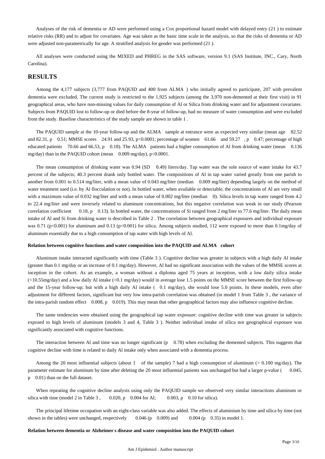Analyses of the risk of dementia or AD were performed using a Cox proportional hazard model with delayed entry  $(21)$  to estimate relative risks (RR) and to adjust for covariates. Age was taken as the basic time scale in the analysis, so that the risks of dementia or AD were adjusted non-parametrically for age. A stratified analysis for gender was performed (21).

All analyses were conducted using the MIXED and PHREG in the SAS software, version 9.1 (SAS Institute, INC., Cary, North Carolina).

# **RESULTS**

Among the 4,177 subjects (3,777 from PAQUID and 400 from ALMA ) who initially agreed to participate, 207 with prevalent dementia were excluded. The current study is restricted to the 1,925 subjects (among the 3,970 non-demented at their first visit) in 91 geographical areas, who have non-missing values for daily consumption of Al or Silica from drinking water and for adjustment covariates. Subjects from PAQUID lost to follow-up or died before the 8-year of follow-up, had no measure of water consumption and were excluded from the study. Baseline characteristics of the study sample are shown in table 1.

The PAQUID sample at the 10-year follow-up and the ALMA sample at entrance were as expected very similar (mean age 82.52 and 82.31, p 0.51; MMSE scores 24.91 and 25.93, p <0.0001; percentage of women 61.66 and 59.27, p 0.47; percentage of high educated patients 70.66 and 66.53, p 0.18). The ALMA patients had a higher consumption of Al from drinking water (mean 0.136 mg/day) than in the PAQUID cohort (mean 0.009 mg/day), p<0.0001.

The mean consumption of drinking water was 0.94 (SD 0.49) liters/day. Tap water was the sole source of water intake for 43.7 percent of the subjects; 40.3 percent drank only bottled water. The compositions of Al in tap water varied greatly from one parish to another from 0.001 to 0.514 mg/liter, with a mean value of 0.043 mg/liter (median 0.009 mg/liter) depending largely on the method of water treatment used (i.e. by Al flocculation or not). In bottled water, when available or detectable, the concentrations of Al are very small with a maximum value of 0.032 mg/liter and with a mean value of 0.002 mg/liter (median 0). Silica levels in tap water ranged from 4.2 to 22.4 mg/liter and were inversely related to aluminum concentrations, but this negative correlation was weak in our study (Pearson correlation coefficient 0.18, p 0.13). In bottled water, the concentrations of Si ranged from 2 mg/liter to 77.6 mg/liter. The daily mean intake of Al and Si from drinking water is described in Table 2. The correlation between geographical exposures and individual exposure was 0.71 (p<0.001) for aluminum and 0.13 (p<0.001) for silica. Among subjects studied, 112 were exposed to more than 0.1mg/day of aluminum essentially due to a high consumption of tap water with high levels of Al.

#### **Relation between cognitive functions and water composition into the PAQUID and ALMA cohort**

Aluminum intake interacted significantly with time (Table 3). Cognitive decline was greater in subjects with a high daily Al intake (greater than 0.1 mg/day or an increase of 0.1 mg/day). However, Al had no significant association with the values of the MMSE scores at inception in the cohort. As an example, a woman without a diploma aged 75 years at inception, with a low daily silica intake  $\langle$ <10.55mg/day) and a low daily Al intake  $\langle$ <0.1 mg/day) would in average lose 1.5 points on the MMSE score between the first follow-up and the 15-year follow-up; but with a high daily Al intake (0.1 mg/day), she would lose 5.0 points. In these models, even after adjustment for different factors, significant but very low intra-parish correlation was obtained (in model 1 from Table 3, the variance of the intra-parish random effect  $0.008$ , p  $0.019$ ). This may mean that other geographical factors may also influence cognitive decline.

The same tendencies were obtained using the geographical tap water exposure: cognitive decline with time was greater in subjects exposed to high levels of aluminum (models 3 and 4, Table 3). Neither individual intake of silica nor geographical exposure was significantly associated with cognitive functions.

The interaction between Al and time was no longer significant  $(p \ 0.78)$  when excluding the demented subjects. This suggests that cognitive decline with time is related to daily Al intake only when associated with a dementia process.

Among the 20 most influential subjects (about 1 of the sample) 7 had a high consumption of aluminum ( $> 0.100 \text{ mg/day}$ ). The parameter estimate for aluminum by time after deleting the 20 most influential patients was unchanged but had a larger p-value ( 0.045, p 0.01) than on the full dataset.

When repeating the cognitive decline analysis using only the PAQUID sample we observed very similar interactions aluminum or silica with time (model 2 in Table 3, 0.020, p 0.004 for Al; 0.003, p 0.10 for silica).

The principal lifetime occupation with an eight-class variable was also added. The effects of aluminium by time and silica by time (not shown in the tables) were unchanged, respectively  $0.046$  (p  $0.009$ ) and  $0.004$  (p  $0.35$ ) in model 1.

#### **Relation between dementia or Alzheimer s disease and water composition into the PAQUID cohort**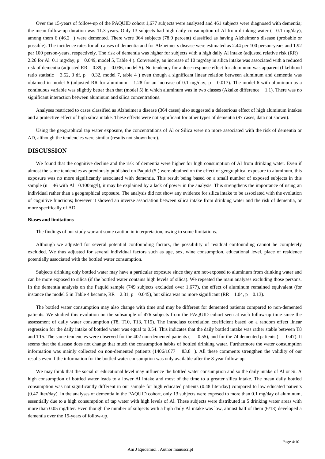Over the 15-years of follow-up of the PAQUID cohort 1,677 subjects were analyzed and 461 subjects were diagnosed with dementia; the mean follow-up duration was 11.3 years. Only 13 subjects had high daily consumption of Al from drinking water ( $0.1 \text{ mg/day}$ ), among them 6 (46.2 ) were demented. There were 364 subjects (78.9 percent) classified as having Alzheimer s disease (probable or possible). The incidence rates for all causes of dementia and for Alzheimer s disease were estimated as 2.44 per 100 person-years and 1.92 per 100 person-years, respectively. The risk of dementia was higher for subjects with a high daily Al intake (adjusted relative risk (RR) 2.26 for Al 0.1 mg/day,  $p = 0.049$ , model 5, Table 4 ). Conversely, an increase of 10 mg/day in silica intake was associated with a reduced risk of dementia (adjusted RR 0.89, p 0.036, model 5). No tendency for a dose-response effect for aluminum was apparent (likelihood ratio statistic  $3.52$ ,  $3$  df, p 0.32, model 7, table 4) even though a significant linear relation between aluminum and dementia was obtained in model 6 (adjusted RR for aluminum 1.28 for an increase of 0.1 mg/day,  $p = 0.017$ ). The model 6 with aluminum as a continuous variable was slightly better than that (model 5) in which aluminum was in two classes (Akaike difference 1.1). There was no significant interaction between aluminum and silica concentrations.

Analyses restricted to cases classified as Alzheimer s disease (364 cases) also suggested a deleterious effect of high aluminum intakes and a protective effect of high silica intake. These effects were not significant for other types of dementia (97 cases, data not shown).

Using the geographical tap water exposure, the concentrations of Al or Silica were no more associated with the risk of dementia or AD, although the tendencies were similar (results not shown here).

# **DISCUSSION**

We found that the cognitive decline and the risk of dementia were higher for high consumption of Al from drinking water. Even if almost the same tendencies as previously published on Paquid (5) were obtained on the effect of geographical exposure to aluminum, this exposure was no more significantly associated with dementia. This result being based on a small number of exposed subjects in this sample (n  $46$  with Al  $0.100$ mg/l), it may be explained by a lack of power in the analysis. This strengthens the importance of using an individual rather than a geographical exposure. The analysis did not show any evidence for silica intake to be associated with the evolution of cognitive functions; however it showed an inverse association between silica intake from drinking water and the risk of dementia, or more specifically of AD.

#### **Biases and limitations**

The findings of our study warrant some caution in interpretation, owing to some limitations.

Although we adjusted for several potential confounding factors, the possibility of residual confounding cannot be completely excluded. We thus adjusted for several individual factors such as age, sex, wine consumption, educational level, place of residence potentially associated with the bottled water consumption.

Subjects drinking only bottled water may have a particular exposure since they are not-exposed to aluminum from drinking water and can be more exposed to silica (if the bottled water contains high levels of silica). We repeated the main analyses excluding those persons. In the dementia analysis on the Paquid sample (749 subjects excluded over 1,677), the effect of aluminum remained equivalent (for instance the model 5 in Table 4 became, RR  $2.31$ , p 0.045), but silica was no more significant (RR 1.04, p 0.13).

The bottled water consumption may also change with time and may be different for demented patients compared to non-demented patients. We studied this evolution on the subsample of 476 subjects from the PAQUID cohort seen at each follow-up time since the assessment of daily water consumption (T8, T10, T13, T15). The intraclass correlation coefficient based on a random effect linear regression for the daily intake of bottled water was equal to 0.54. This indicates that the daily bottled intake was rather stable between T8 and T15. The same tendencies were observed for the 402 non-demented patients ( 0.55), and for the 74 demented patients ( 0.47). It seems that the disease does not change that much the consumption habits of bottled drinking water. Furthermore the water consumption information was mainly collected on non-demented patients  $(1406/1677 \quad 83.8)$ . All these comments strengthen the validity of our results even if the information for the bottled water consumption was only available after the 8-year follow-up.

We may think that the social or educational level may influence the bottled water consumption and so the daily intake of Al or Si. A high consumption of bottled water leads to a lower Al intake and most of the time to a greater silica intake. The mean daily bottled consumption was not significantly different in our sample for high educated patients (0.48 liter/day) compared to low educated patients (0.47 liter/day). In the analyses of dementia in the PAQUID cohort, only 13 subjects were exposed to more than 0.1 mg/day of aluminum, essentially due to a high consumption of tap water with high levels of Al. These subjects were distributed in 5 drinking water areas with more than 0.05 mg/liter. Even though the number of subjects with a high daily Al intake was low, almost half of them (6/13) developed a dementia over the 15-years of follow-up.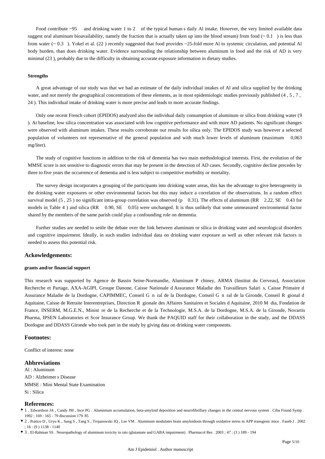Food contribute  $\sim$ 95 and drinking water 1 to 2 of the typical human s daily Al intake. However, the very limited available data suggest oral aluminum bioavailability, namely the fraction that is actually taken up into the blood stream) from food  $(0.1)$  is less than from water  $(-0.3)$ . Yokel et al. (22) recently suggested that food provides ~25-fold more Al to systemic circulation, and potential Al body burden, than does drinking water. Evidence surrounding the relationship between aluminum in food and the risk of AD is very minimal (23), probably due to the difficulty in obtaining accurate exposure information in dietary studies.

#### **Strengths**

A great advantage of our study was that we had an estimate of the daily individual intakes of Al and silica supplied by the drinking water, and not merely the geographical concentrations of these elements, as in most epidemiologic studies previously published  $(4, 5, 7, 7)$ 24 ). This individual intake of drinking water is more precise and leads to more accurate findings.

Only one recent French cohort (EPIDOS) analyzed also the individual daily consumption of aluminum or silica from drinking water (9 ). At baseline, low silica concentration was associated with low cognitive performance and with more AD patients. No significant changes were observed with aluminum intakes. These results corroborate our results for silica only. The EPIDOS study was however a selected population of volunteers not representative of the general population and with much lower levels of aluminum (maximum 0,063 mg/liter).

The study of cognitive functions in addition to the risk of dementia has two main methodological interests. First, the evolution of the MMSE score is not sensitive to diagnostic errors that may be present in the detection of AD cases. Secondly, cognitive decline precedes by three to five years the occurrence of dementia and is less subject to competitive morbidity or mortality.

The survey design incorporates a grouping of the participants into drinking water areas, this has the advantage to give heterogeneity in the drinking water exposures or other environmental factors but this may induce a correlation of the observations. In a random effect survival model (5, 25) no significant intra-group correlation was observed (p  $-0.31$ ). The effects of aluminum (RR  $-2.22$ , SE  $-0.43$  for models in Table 4 ) and silica (RR 0.90, SE 0.05) were unchanged. It is thus unlikely that some unmeasured environmental factor shared by the members of the same parish could play a confounding role on dementia.

Further studies are needed to settle the debate over the link between aluminum or silica in drinking water and neurological disorders and cognitive impairment. Ideally, in such studies individual data on drinking water exposure as well as other relevant risk factors is needed to assess this potential risk.

### **Ackowledgements:**

#### **grants and/or financial support**

This research was supported by Agence de Bassin Seine-Normandie, Aluminum P chiney, ARMA (Institut du Cerveau), Association Recherche et Partage, AXA-AGIPI, Groupe Danone, Caisse Nationale d Assurance Maladie des Travailleurs Salari s, Caisse Primaire d Assurance Maladie de la Dordogne, CAPIMMEC, Conseil G n ral de la Dordogne, Conseil G n ral de la Gironde, Conseil R gional d Aquitaine, Caisse de Retraite Interentreprises, Direction R gionale des Affaires Sanitaires et Sociales d Aquitaine, 2010 M dia, Fondation de ' é France, INSERM, M.G.E.N., Minist re de la Recherche et de la Technologie, M.S.A. de la Dordogne, M.S.A. de la Gironde, Novartis Pharma, IPSEN Laboratories et Scor Insurance Group. We thank the PAQUID staff for their collaboration in the study, and the DDASS Dordogne and DDASS Gironde who took part in the study by giving data on drinking water components.

#### **Footnotes:**

Conflict of interest: none

#### **Abbreviations**

 Al : Aluminum AD : Alzheimer s Disease MMSE : Mini Mental State Examination Si : Silica

### **References:**

1 . Edwardson JA , Candy JM , Ince PG . Aluminium accumulation, beta-amyloid deposition and neurofibrillary changes in the central nervous system . Ciba Found Symp . 1992 ; 169 : 165 - 79 discussion 179 85

2 . Pratico D , Uryu K , Sung S , Tang S , Trojanowski JQ , Lee VM . Aluminum modulates brain amyloidosis through oxidative stress in APP transgenic mice . Faseb J . 2002 ; 16 : (9 ) 1138 - 1140

3 . El-Rahman SS . Neuropathology of aluminum toxicity in rats (glutamate and GABA impairment) . Pharmacol Res . 2003 ; 47 : (3 ) 189 - 194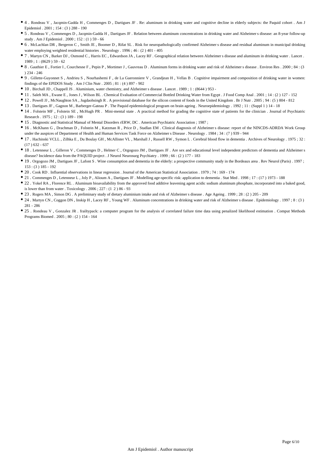- 4 . Rondeau V , Jacqmin-Gadda H , Commenges D , Dartigues JF . Re: aluminum in drinking water and cognitive decline in elderly subjects: the Paquid cohort . Am J Epidemiol . 2001 ; 154 : (3 ) 288 - 190
- 5 . Rondeau V , Commenges D , Jacqmin-Gadda H , Dartigues JF . Relation between aluminum concentrations in drinking water and Alzheimer s disease: an 8-year follow-up study . Am J Epidemiol . 2000 ; 152 : (1 ) 59 - 66
- 6 . McLachlan DR , Bergeron C , Smith JE , Boomer D , Rifat SL . Risk for neuropathologically confirmed Alzheimer s disease and residual aluminum in municipal drinking water employing weighted residential histories . Neurology . 1996 ; 46 : (2 ) 401 - 405
- 7 . Martyn CN , Barker DJ , Osmond C , Harris EC , Edwardson JA , Lacey RF . Geographical relation between Alzheimer s disease and aluminum in drinking water . Lancet . 1989 ; 1 : (8629 ) 59 - 62
- 8 . Gauthier E , Fortier I , Courchesne F , Pepin P , Mortimer J , Gauvreau D . Aluminum forms in drinking water and risk of Alzheimer s disease . Environ Res . 2000 ; 84 : (3 ) 234 - 246
- 9 . Gillette-Guyonnet S , Andrieu S , Nourhashemi F , de La Gueronniere V , Grandjean H , Vellas B . Cognitive impairment and composition of drinking water in women: findings of the EPIDOS Study . Am J Clin Nutr . 2005 ; 81 : (4 ) 897 - 902
- 10 . Birchall JD , Chappell JS . Aluminium, water chemistry, and Alzheimer s disease . Lancet . 1989 ; 1 : (8644 ) 953 -
- 11 . Saleh MA , Ewane E , Jones J , Wilson BL . Chemical Evaluation of Commercial Bottled Drinking Water from Egypt . J Food Comp Anal . 2001 ; 14 : (2 ) 127 152
- 12 . Powell JJ , McNaughton SA , Jugdaohsingh R . A provisional database for the silicon content of foods in the United Kingdom . Br J Nutr . 2005 ; 94 : (5 ) 804 812
- 13 . Dartigues JF , Gagnon M , Barberger-Gateau P . The Paquid epidemiological program on brain ageing . Neuroepidemiology . 1992 ; 11 : (Suppl 1 ) 14 18
- 14 . Folstein MF, Folstein SE, McHugh PR. Mini-mental state . A practical method for grading the cognitive state of patients for the clinician . Journal of Psychiatric Research . 1975 ; 12 : (3 ) 189 - 198
- 15 . Diagnostic and Statistical Manual of Mental Disorders rERW, DC . American Psychiatric Association ; 1987 ;
- 16 . McKhann G , Drachman D , Folstein M , Katzman R , Price D , Stadlan EM . Clinical diagnosis of Alzheimer s disease: report of the NINCDS-ADRDA Work Group under the auspices of Department of Health and Human Services Task Force on Alzheimer s Disease . Neurology . 1984 ; 34 : (7 ) 939 - 944
- 17 . Hachinski VCLL , Zilhka E , Du Boulay GH , McAllister VL , Marshall J , Russell RW , Symon L . Cerebral blood flow in dementia . Archives of Neuro logy . 1975 ; 32 : (17 ) 632 - 637
- 18 . Letenneur L , Gilleron V , Commenges D , Helmer C , Orgogozo JM , Dartigues JF . Are sex and educational level independent predictors of dementia and Alzheimer s disease? Incidence data from the PAQUID project . J Neurol Neurosurg Psychiatry . 1999 ; 66 : (2 ) 177 - 183
- 19 . Orgogozo JM , Dartigues JF , Lafont S . Wine consumption and dementia in the elderly: a prospective community study in the Bordeaux area . Rev Neurol (Paris) . 1997 ; 153 : (3 ) 185 - 192
- 20 . Cook RD . Influential observations in linear regression . Journal of the American Statistical Association . 1979 ; 74 : 169 174
- 21 . Commenges D , Letenneur L , Joly P , Alioum A , Dartigues JF . Modelling age-specific risk: application to dementia . Stat Med . 1998 ; 17 : (17 ) 1973 188
- 22 . Yokel RA , Florence RL . Aluminum bioavailability from the approved food additive leavening agent acidic sodium aluminum phosphate, incorporated into a baked good, is lower than from water . Toxicology . 2006 ; 227 : (1 2 ) 86 - 93
- 23 . Rogers MA , Simon DG . A preliminary study of dietary aluminium intake and risk of Alzheimer s disease . Age Ageing . 1999 ; 28 : (2 ) 205 209
- 24 . Martyn CN , Coggon DN , Inskip H , Lacey RF , Young WF . Aluminum concentrations in drinking water and risk of Alzheimer s disease . Epidemiology . 1997 ; 8 : (3 ) 281 - 286
- 25 . Rondeau V , Gonzalez JR . frailtypack: a computer program for the analysis of correlated failure time data using penalized likelihood estimation . Comput Methods Programs Biomed . 2005 ; 80 : (2 ) 154 - 164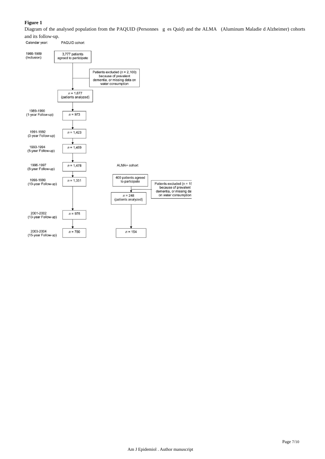# **Figure 1**

Diagram of the analysed population from the PAQUID (Personnes g es Quid) and the ALMA (Aluminum Maladie d Alzheimer) cohorts and its follow-up.

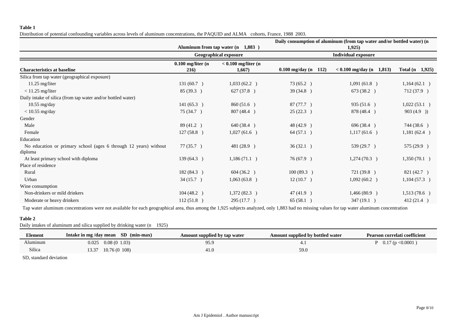### **Table 1**

Distribution of potential confounding variables across levels of aluminum concentrations, the PAQUID and ALMA cohorts, France, 1988 2003.

|                                                                             |                              |                                   | Daily consumption of aluminum (from tap water and/or bottled water) (n<br>1,925 |                               |                     |  |
|-----------------------------------------------------------------------------|------------------------------|-----------------------------------|---------------------------------------------------------------------------------|-------------------------------|---------------------|--|
|                                                                             |                              | Aluminum from tap water (n 1,883) |                                                                                 |                               |                     |  |
|                                                                             | <b>Geographical exposure</b> |                                   | <b>Individual exposure</b>                                                      |                               |                     |  |
| <b>Characteristics at baseline</b>                                          | $0.100$ mg/liter (n<br>216)  | $< 0.100$ mg/liter (n<br>1,667)   | $0.100$ mg/day (n 112)                                                          | 1,813)<br>$< 0.100$ mg/day (n | Total $(n \t1,925)$ |  |
| Silica from tap water (geographical exposure)                               |                              |                                   |                                                                                 |                               |                     |  |
| $11.25$ mg/liter                                                            | 131(60.7)                    | 1,033(62.2)                       | 73 (65.2)                                                                       | 1,091(61.8)                   | 1,164(62.1)         |  |
| $<$ 11.25 mg/liter                                                          | 85(39.3)                     | 627 (37.8)                        | 39 (34.8)                                                                       | 673 (38.2)                    | 712 (37.9)          |  |
| Daily intake of silica (from tap water and/or bottled water)                |                              |                                   |                                                                                 |                               |                     |  |
| $10.55$ mg/day                                                              | 141(65.3)                    | 860 (51.6)                        | 87 (77.7)                                                                       | 935 (51.6)                    | 1,022(53.1)         |  |
| $<$ 10.55 mg/day                                                            | 75 (34.7)                    | 807 (48.4)                        | 25(22.3)                                                                        | 878 (48.4)                    | 903(4.9)            |  |
| Gender                                                                      |                              |                                   |                                                                                 |                               |                     |  |
| Male                                                                        | 89 (41.2)                    | 640 (38.4)                        | 48 (42.9 )                                                                      | 696 (38.4)                    | 744 (38.6)          |  |
| Female                                                                      | 127 (58.8)                   | 1,027(61.6)                       | 64 (57.1 )                                                                      | 1,117(61.6)                   | 1,181(62.4)         |  |
| Education                                                                   |                              |                                   |                                                                                 |                               |                     |  |
| No education or primary school (ages 6 through 12 years) without<br>diploma | 77(35.7)                     | 481 (28.9 )                       | 36(32.1)                                                                        | 539(29.7)                     | 575(29.9)           |  |
| At least primary school with diploma                                        | 139 (64.3)                   | 1,186(71.1)                       | 76 (67.9 )                                                                      | 1,274(70.3)                   | 1,350(70.1)         |  |
| Place of residence                                                          |                              |                                   |                                                                                 |                               |                     |  |
| Rural                                                                       | 182 (84.3)                   | 604(36.2)                         | 100(89.3)                                                                       | 721 (39.8)                    | 821(42.7)           |  |
| Urban                                                                       | 34(15.7)                     | 1,063(63.8)                       | 12(10.7)                                                                        | 1,092(60.2)                   | 1,104(57.3)         |  |
| Wine consumption                                                            |                              |                                   |                                                                                 |                               |                     |  |
| Non-drinkers or mild drinkers                                               | 104(48.2)                    | 1,372(82.3)                       | 47 (41.9 )                                                                      | 1,466 (80.9)                  | 1,513(78.6)         |  |
| Moderate or heavy drinkers                                                  | 112(51.8)                    | 295(17.7)                         | 65(58.1)                                                                        | 347(19.1)                     | 412(21.4)           |  |

Tap water aluminum concentrations were not available for each geographical area, thus among the 1,925 subjects analyzed, only 1,883 had no missing values for tap water aluminum concentration

# **Table 2**

Daily intakes of aluminum and silica supplied by drinking water (n 1925)

| Element  | Intake in mg/day mean SD (min-max) | Amount supplied by tap water | Amount supplied by bottled water | Pearson correlati coefficient |
|----------|------------------------------------|------------------------------|----------------------------------|-------------------------------|
| Aluminum | 0.08(01.03)<br>0.025               | 95.9                         |                                  | P $0.17$ (p < 0.0001)         |
| Silica   | 10.76(0108)<br>13.37               | 41.0                         | 59.0                             |                               |

SD, standard deviation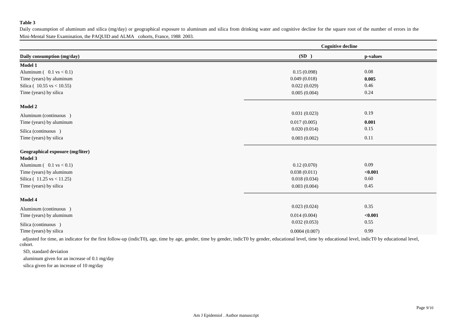## **Table 3**

Daily consumption of aluminum and silica (mg/day) or geographical exposure to aluminum and silica from drinking water and cognitive decline for the square root of the number of errors in the Mini-Mental State Examination, the PAQUID and ALMA cohorts, France, 1988 2003.

|                                    | <b>Cognitive decline</b> |          |  |  |
|------------------------------------|--------------------------|----------|--|--|
| Daily consumption (mg/day)         | (SD)                     | p-values |  |  |
| <b>Model 1</b>                     |                          |          |  |  |
| Aluminum $(0.1 \text{ vs } < 0.1)$ | 0.15(0.098)              | $0.08\,$ |  |  |
| Time (years) by aluminum           | 0.049(0.018)             | 0.005    |  |  |
| Silica ( $10.55$ vs < 10.55)       | 0.022(0.029)             | 0.46     |  |  |
| Time (years) by silica             | 0.005(0.004)             | 0.24     |  |  |
| Model 2                            |                          |          |  |  |
| Aluminum (continuous)              | 0.031(0.023)             | 0.19     |  |  |
| Time (years) by aluminum           | 0.017(0.005)             | 0.001    |  |  |
| Silica (continuous)                | 0.020(0.014)             | 0.15     |  |  |
| Time (years) by silica             | 0.003(0.002)             | 0.11     |  |  |
| Geographical exposure (mg/liter)   |                          |          |  |  |
| Model 3                            |                          |          |  |  |
| Aluminum $(0.1 \text{ vs } < 0.1)$ | 0.12(0.070)              | 0.09     |  |  |
| Time (years) by aluminum           | 0.038(0.011)             | < 0.001  |  |  |
| Silica (11.25 vs < 11.25)          | 0.018(0.034)             | 0.60     |  |  |
| Time (years) by silica             | 0.003(0.004)             | 0.45     |  |  |
| Model 4                            |                          |          |  |  |
| Aluminum (continuous)              | 0.023(0.024)             | 0.35     |  |  |
| Time (years) by aluminum           | 0.014(0.004)             | < 0.001  |  |  |
| Silica (continuous)                | 0.032(0.053)             | 0.55     |  |  |
| Time (years) by silica             | 0.0004(0.007)            | 0.99     |  |  |

adjusted for time, an indicator for the first follow-up (indicT0), age, time by age, gender, time by gender, indicT0 by gender, educational level, time by educational level, indicT0 by educational level, cohort.

SD, standard deviation

aluminum given for an increase of 0.1 mg/day

silica given for an increase of 10 mg/day